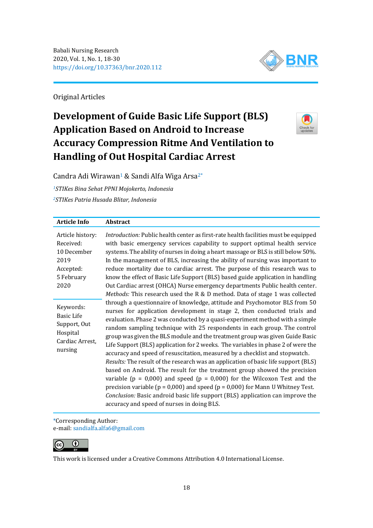

Original Articles

# **Development of Guide Basic Life Support (BLS) Application Based on Android to Increase Accuracy Compression Ritme And Ventilation to Handling of Out Hospital Cardiac Arrest**



Candra Adi Wirawan<sup>1</sup> & Sandi Alfa Wiga Arsa<sup>2\*</sup>

*<sup>1</sup>STIKes Bina Sehat PPNI Mojokerto, Indonesia <sup>2</sup>STIKes Patria Husada Blitar, Indonesia*

| <b>Article Info</b>                                                                      | Abstract                                                                                                                                                                                                                                                                                                                                                                                                                                                                                                                                                                                                                                                                                                                                                                                                                                                                                                                                                                                                                                              |
|------------------------------------------------------------------------------------------|-------------------------------------------------------------------------------------------------------------------------------------------------------------------------------------------------------------------------------------------------------------------------------------------------------------------------------------------------------------------------------------------------------------------------------------------------------------------------------------------------------------------------------------------------------------------------------------------------------------------------------------------------------------------------------------------------------------------------------------------------------------------------------------------------------------------------------------------------------------------------------------------------------------------------------------------------------------------------------------------------------------------------------------------------------|
| Article history:<br>Received:<br>10 December<br>2019<br>Accepted:<br>5 February<br>2020  | Introduction: Public health center as first-rate health facilities must be equipped<br>with basic emergency services capability to support optimal health service<br>systems. The ability of nurses in doing a heart massage or BLS is still below 50%.<br>In the management of BLS, increasing the ability of nursing was important to<br>reduce mortality due to cardiac arrest. The purpose of this research was to<br>know the effect of Basic Life Support (BLS) based guide application in handling<br>Out Cardiac arrest (OHCA) Nurse emergency departments Public health center.<br>Methods: This research used the R & D method. Data of stage 1 was collected                                                                                                                                                                                                                                                                                                                                                                               |
| Keywords:<br><b>Basic Life</b><br>Support, Out<br>Hospital<br>Cardiac Arrest,<br>nursing | through a questionnaire of knowledge, attitude and Psychomotor BLS from 50<br>nurses for application development in stage 2, then conducted trials and<br>evaluation. Phase 2 was conducted by a quasi-experiment method with a simple<br>random sampling technique with 25 respondents in each group. The control<br>group was given the BLS module and the treatment group was given Guide Basic<br>Life Support (BLS) application for 2 weeks. The variables in phase 2 of were the<br>accuracy and speed of resuscitation, measured by a checklist and stopwatch.<br>Results: The result of the research was an application of basic life support (BLS)<br>based on Android. The result for the treatment group showed the precision<br>variable ( $p = 0,000$ ) and speed ( $p = 0,000$ ) for the Wilcoxon Test and the<br>precision variable ( $p = 0.000$ ) and speed ( $p = 0.000$ ) for Mann U Whitney Test.<br>Conclusion: Basic android basic life support (BLS) application can improve the<br>accuracy and speed of nurses in doing BLS. |

\*Corresponding Author: e-mail: [sandialfa.alfa6@gmail.com](mailto:sandialfa.alfa6@gmail.com)



This work is licensed under a [Creative Commons Attribution 4.0 International License.](https://creativecommons.org/licenses/by/4.0/)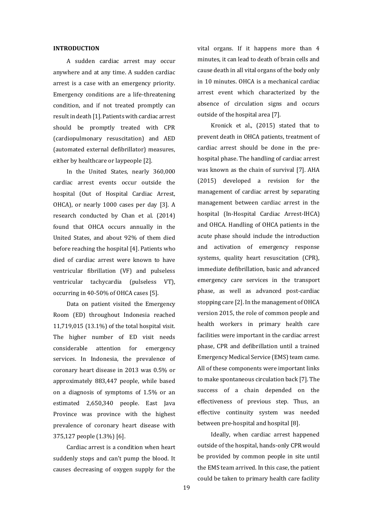#### **INTRODUCTION**

A sudden cardiac arrest may occur anywhere and at any time. A sudden cardiac arrest is a case with an emergency priority. Emergency conditions are a life-threatening condition, and if not treated promptly can result in death [1]. Patients with cardiac arrest should be promptly treated with CPR (cardiopulmonary resuscitation) and AED (automated external defibrillator) measures, either by healthcare or laypeople [2].

In the United States, nearly 360,000 cardiac arrest events occur outside the hospital (Out of Hospital Cardiac Arrest, OHCA), or nearly 1000 cases per day [3]. A research conducted by Chan et al. (2014) found that OHCA occurs annually in the United States, and about 92% of them died before reaching the hospital [4]. Patients who died of cardiac arrest were known to have ventricular fibrillation (VF) and pulseless ventricular tachycardia (pulseless VT), occurring in 40-50% of OHCA cases [5].

Data on patient visited the Emergency Room (ED) throughout Indonesia reached 11,719,015 (13.1%) of the total hospital visit. The higher number of ED visit needs considerable attention for emergency services. In Indonesia, the prevalence of coronary heart disease in 2013 was 0.5% or approximately 883,447 people, while based on a diagnosis of symptoms of 1.5% or an estimated 2,650,340 people. East Java Province was province with the highest prevalence of coronary heart disease with 375,127 people (1.3%) [6].

Cardiac arrest is a condition when heart suddenly stops and can't pump the blood. It causes decreasing of oxygen supply for the vital organs. If it happens more than 4 minutes, it can lead to death of brain cells and cause death in all vital organs of the body only in 10 minutes. OHCA is a mechanical cardiac arrest event which characterized by the absence of circulation signs and occurs outside of the hospital area [7].

Kronick et al., (2015) stated that to prevent death in OHCA patients, treatment of cardiac arrest should be done in the prehospital phase. The handling of cardiac arrest was known as the chain of survival [7]. AHA (2015) developed a revision for the management of cardiac arrest by separating management between cardiac arrest in the hospital (In-Hospital Cardiac Arrest-IHCA) and OHCA. Handling of OHCA patients in the acute phase should include the introduction and activation of emergency response systems, quality heart resuscitation (CPR), immediate defibrillation, basic and advanced emergency care services in the transport phase, as well as advanced post-cardiac stopping care [2]. In the management of OHCA version 2015, the role of common people and health workers in primary health care facilities were important in the cardiac arrest phase, CPR and defibrillation until a trained Emergency Medical Service (EMS) team came. All of these components were important links to make spontaneous circulation back [7]. The success of a chain depended on the effectiveness of previous step. Thus, an effective continuity system was needed between pre-hospital and hospital [8].

Ideally, when cardiac arrest happened outside of the hospital, hands-only CPR would be provided by common people in site until the EMS team arrived. In this case, the patient could be taken to primary health care facility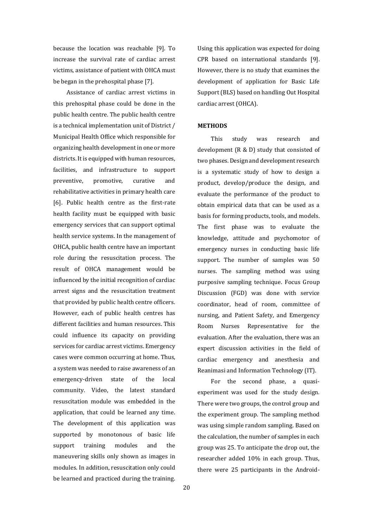because the location was reachable [9]. To increase the survival rate of cardiac arrest victims, assistance of patient with OHCA must be began in the prehospital phase [7].

Assistance of cardiac arrest victims in this prehospital phase could be done in the public health centre. The public health centre is a technical implementation unit of District / Municipal Health Office which responsible for organizing health development in one or more districts. It is equipped with human resources, facilities, and infrastructure to support preventive, promotive, curative and rehabilitative activities in primary health care [6]. Public health centre as the first-rate health facility must be equipped with basic emergency services that can support optimal health service systems. In the management of OHCA, public health centre have an important role during the resuscitation process. The result of OHCA management would be influenced by the initial recognition of cardiac arrest signs and the resuscitation treatment that provided by public health centre officers. However, each of public health centres has different facilities and human resources. This could influence its capacity on providing services for cardiac arrest victims. Emergency cases were common occurring at home. Thus, a system was needed to raise awareness of an emergency-driven state of the local community. Video, the latest standard resuscitation module was embedded in the application, that could be learned any time. The development of this application was supported by monotonous of basic life support training modules and the maneuvering skills only shown as images in modules. In addition, resuscitation only could be learned and practiced during the training.

Using this application was expected for doing CPR based on international standards [9]. However, there is no study that examines the development of application for Basic Life Support (BLS) based on handling Out Hospital cardiac arrest (OHCA).

## **METHODS**

This study was research and development (R & D) study that consisted of two phases. Design and development research is a systematic study of how to design a product, develop/produce the design, and evaluate the performance of the product to obtain empirical data that can be used as a basis for forming products, tools, and models. The first phase was to evaluate the knowledge, attitude and psychomotor of emergency nurses in conducting basic life support. The number of samples was 50 nurses. The sampling method was using purposive sampling technique. Focus Group Discussion (FGD) was done with service coordinator, head of room, committee of nursing, and Patient Safety, and Emergency Room Nurses Representative for the evaluation. After the evaluation, there was an expert discussion activities in the field of cardiac emergency and anesthesia and Reanimasi and Information Technology (IT).

For the second phase, a quasiexperiment was used for the study design. There were two groups, the control group and the experiment group. The sampling method was using simple random sampling. Based on the calculation, the number of samples in each group was 25. To anticipate the drop out, the researcher added 10% in each group. Thus, there were 25 participants in the Android-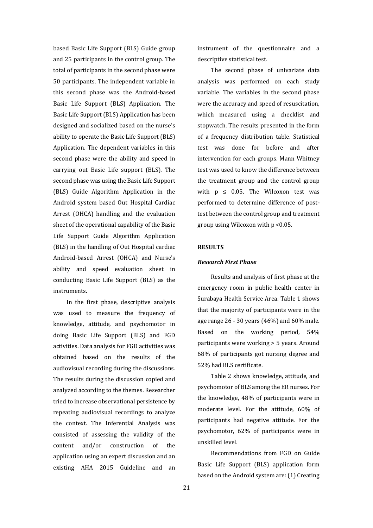based Basic Life Support (BLS) Guide group and 25 participants in the control group. The total of participants in the second phase were 50 participants. The independent variable in this second phase was the Android-based Basic Life Support (BLS) Application. The Basic Life Support (BLS) Application has been designed and socialized based on the nurse's ability to operate the Basic Life Support (BLS) Application. The dependent variables in this second phase were the ability and speed in carrying out Basic Life support (BLS). The second phase was using the Basic Life Support (BLS) Guide Algorithm Application in the Android system based Out Hospital Cardiac Arrest (OHCA) handling and the evaluation sheet of the operational capability of the Basic Life Support Guide Algorithm Application (BLS) in the handling of Out Hospital cardiac Android-based Arrest (OHCA) and Nurse's ability and speed evaluation sheet in conducting Basic Life Support (BLS) as the instruments.

In the first phase, descriptive analysis was used to measure the frequency of knowledge, attitude, and psychomotor in doing Basic Life Support (BLS) and FGD activities. Data analysis for FGD activities was obtained based on the results of the audiovisual recording during the discussions. The results during the discussion copied and analyzed according to the themes. Researcher tried to increase observational persistence by repeating audiovisual recordings to analyze the context. The Inferential Analysis was consisted of assessing the validity of the content and/or construction of the application using an expert discussion and an existing AHA 2015 Guideline and an instrument of the questionnaire and a descriptive statistical test.

The second phase of univariate data analysis was performed on each study variable. The variables in the second phase were the accuracy and speed of resuscitation, which measured using a checklist and stopwatch. The results presented in the form of a frequency distribution table. Statistical test was done for before and after intervention for each groups. Mann Whitney test was used to know the difference between the treatment group and the control group with  $p \leq 0.05$ . The Wilcoxon test was performed to determine difference of posttest between the control group and treatment group using Wilcoxon with p <0.05.

#### **RESULTS**

#### *Research First Phase*

Results and analysis of first phase at the emergency room in public health center in Surabaya Health Service Area. Table 1 shows that the majority of participants were in the age range 26 - 30 years (46%) and 60% male. Based on the working period, 54% participants were working > 5 years. Around 68% of participants got nursing degree and 52% had BLS certificate.

Table 2 shows knowledge, attitude, and psychomotor of BLS among the ER nurses. For the knowledge, 48% of participants were in moderate level. For the attitude, 60% of participants had negative attitude. For the psychomotor, 62% of participants were in unskilled level.

Recommendations from FGD on Guide Basic Life Support (BLS) application form based on the Android system are: (1) Creating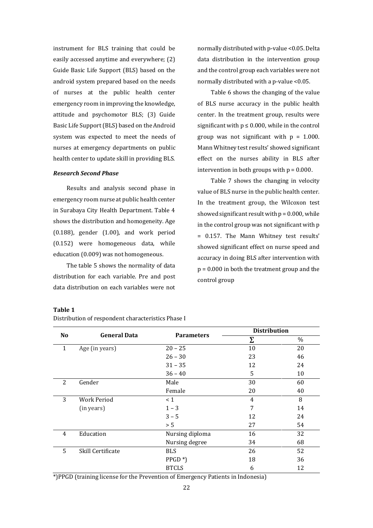instrument for BLS training that could be easily accessed anytime and everywhere; (2) Guide Basic Life Support (BLS) based on the android system prepared based on the needs of nurses at the public health center emergency room in improving the knowledge, attitude and psychomotor BLS; (3) Guide Basic Life Support (BLS) based on the Android system was expected to meet the needs of nurses at emergency departments on public health center to update skill in providing BLS.

# *Research Second Phase*

Results and analysis second phase in emergency room nurse at public health center in Surabaya City Health Department. Table 4 shows the distribution and homogeneity. Age (0.188), gender (1.00), and work period (0.152) were homogeneous data, while education (0.009) was not homogeneous.

The table 5 shows the normality of data distribution for each variable. Pre and post data distribution on each variables were not normally distributed with p-value <0.05. Delta data distribution in the intervention group and the control group each variables were not normally distributed with a p-value <0.05.

Table 6 shows the changing of the value of BLS nurse accuracy in the public health center. In the treatment group, results were significant with  $p \le 0.000$ , while in the control group was not significant with  $p = 1.000$ . Mann Whitney test results' showed significant effect on the nurses ability in BLS after intervention in both groups with  $p = 0.000$ .

Table 7 shows the changing in velocity value of BLS nurse in the public health center. In the treatment group, the Wilcoxon test showed significant result with  $p = 0.000$ , while in the control group was not significant with p = 0.157. The Mann Whitney test results' showed significant effect on nurse speed and accuracy in doing BLS after intervention with p = 0.000 in both the treatment group and the control group

| Η<br>n<br>ш<br>. . |  |
|--------------------|--|
|--------------------|--|

Distribution of respondent characteristics Phase I

| N <sub>o</sub> | <b>General Data</b> |                       | <b>Distribution</b> |      |  |
|----------------|---------------------|-----------------------|---------------------|------|--|
|                |                     | <b>Parameters</b>     | Σ                   | $\%$ |  |
| $\mathbf{1}$   | Age (in years)      | $20 - 25$             | 10                  | 20   |  |
|                |                     | $26 - 30$             | 23                  | 46   |  |
|                |                     | $31 - 35$             | 12                  | 24   |  |
|                |                     | $36 - 40$             | 5                   | 10   |  |
| 2              | Gender              | Male                  | 30                  | 60   |  |
|                |                     | Female                | 20                  | 40   |  |
| 3              | Work Period         | $\leq 1$              | $\overline{4}$      | 8    |  |
|                | (in years)          | $1 - 3$               | 7                   | 14   |  |
|                |                     | $3 - 5$               | 12                  | 24   |  |
|                |                     | > 5                   | 27                  | 54   |  |
| $\overline{4}$ | Education           | Nursing diploma       | 16                  | 32   |  |
|                |                     | Nursing degree        | 34                  | 68   |  |
| 5              | Skill Certificate   | <b>BLS</b>            | 26                  | 52   |  |
|                |                     | $PPGD$ <sup>*</sup> ) | 18                  | 36   |  |
|                |                     | <b>BTCLS</b>          | 6                   | 12   |  |

\*)PPGD (training license for the Prevention of Emergency Patients in Indonesia)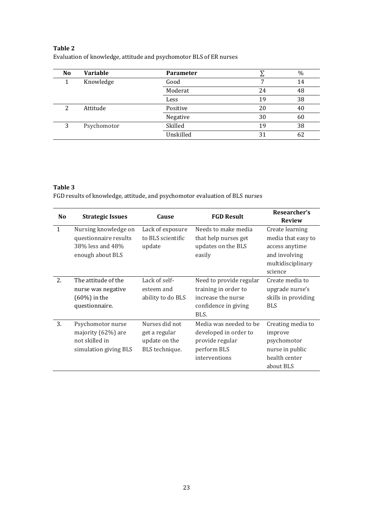# **Table 2** Evaluation of knowledge, attitude and psychomotor BLS of ER nurses

| N <sub>o</sub> | <b>Variable</b> | <b>Parameter</b> |    | %  |
|----------------|-----------------|------------------|----|----|
|                | Knowledge       | Good             |    | 14 |
|                |                 | Moderat          | 24 | 48 |
|                |                 | Less             | 19 | 38 |
| 2              | Attitude        | Positive         | 20 | 40 |
|                |                 | Negative         | 30 | 60 |
| 3              | Psychomotor     | Skilled          | 19 | 38 |
|                |                 | Unskilled        | 31 | 62 |

# **Table 3**

FGD results of knowledge, attitude, and psychomotor evaluation of BLS nurses

| N <sub>o</sub> | <b>Strategic Issues</b>                                                               | Cause                                                              | <b>FGD Result</b>                                                                                     | Researcher's<br><b>Review</b>                                                                            |
|----------------|---------------------------------------------------------------------------------------|--------------------------------------------------------------------|-------------------------------------------------------------------------------------------------------|----------------------------------------------------------------------------------------------------------|
| $\mathbf{1}$   | Nursing knowledge on<br>questionnaire results<br>38% less and 48%<br>enough about BLS | Lack of exposure<br>to BLS scientific<br>update                    | Needs to make media<br>that help nurses get<br>updates on the BLS<br>easily                           | Create learning<br>media that easy to<br>access anytime<br>and involving<br>multidisciplinary<br>science |
| 2.             | The attitude of the<br>nurse was negative<br>$(60\%)$ in the<br>questionnaire.        | Lack of self-<br>esteem and<br>ability to do BLS                   | Need to provide regular<br>training in order to<br>increase the nurse<br>confidence in giving<br>BLS. | Create media to<br>upgrade nurse's<br>skills in providing<br><b>BLS</b>                                  |
| 3.             | Psychomotor nurse<br>majority (62%) are<br>not skilled in<br>simulation giving BLS    | Nurses did not<br>get a regular<br>update on the<br>BLS technique. | Media was needed to be<br>developed in order to<br>provide regular<br>perform BLS<br>interventions    | Creating media to<br>improve<br>psychomotor<br>nurse in public<br>health center<br>about BLS             |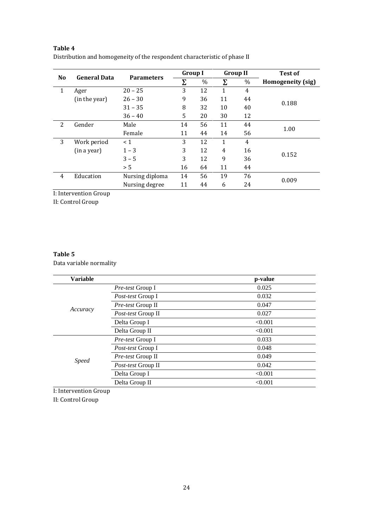# **Table 4**

Distribution and homogeneity of the respondent characteristic of phase II

|                |                     |                   |    | <b>Group I</b><br><b>Group II</b> |    | <b>Test of</b> |                   |  |
|----------------|---------------------|-------------------|----|-----------------------------------|----|----------------|-------------------|--|
| N <sub>o</sub> | <b>General Data</b> | <b>Parameters</b> |    | %                                 | Σ  | $\%$           | Homogeneity (sig) |  |
| 1              | Ager                | $20 - 25$         | 3  | 12                                | 1  | 4              |                   |  |
|                | (in the year)       | $26 - 30$         | 9  | 36                                | 11 | 44             |                   |  |
|                |                     | $31 - 35$         | 8  | 32                                | 10 | 40             | 0.188             |  |
|                |                     | $36 - 40$         | 5  | 20                                | 30 | 12             |                   |  |
| 2              | Gender              | Male              | 14 | 56                                | 11 | 44             | 1.00              |  |
|                |                     | Female            | 11 | 44                                | 14 | 56             |                   |  |
| 3              | Work period         | < 1               | 3  | 12                                | 1  | 4              |                   |  |
|                | (in a year)         | $1 - 3$           | 3  | 12                                | 4  | 16             |                   |  |
|                |                     | $3 - 5$           | 3  | 12                                | 9  | 36             | 0.152             |  |
|                |                     | > 5               | 16 | 64                                | 11 | 44             |                   |  |
| 4              | Education           | Nursing diploma   | 14 | 56                                | 19 | 76             |                   |  |
|                |                     | Nursing degree    | 11 | 44                                | 6  | 24             | 0.009             |  |

I: Intervention Group

II: Control Group

# **Table 5**

Data variable normality

| <b>Variable</b> |                          | p-value |
|-----------------|--------------------------|---------|
|                 | <i>Pre-test</i> Group I  | 0.025   |
|                 | <i>Post-test</i> Group I | 0.032   |
|                 | <i>Pre-test</i> Group II | 0.047   |
| Accuracy        | Post-test Group II       | 0.027   |
|                 | Delta Group I            | < 0.001 |
|                 | Delta Group II           | < 0.001 |
|                 | <i>Pre-test</i> Group I  | 0.033   |
|                 | <i>Post-test</i> Group I | 0.048   |
|                 | Pre-test Group II        | 0.049   |
| <i>Speed</i>    | Post-test Group II       | 0.042   |
|                 | Delta Group I            | < 0.001 |
|                 | Delta Group II           | < 0.001 |

I: Intervention Group

II: Control Group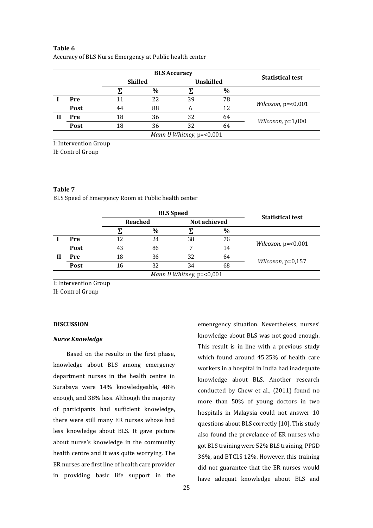# **Table 6**

| Accuracy of BLS Nurse Emergency at Public health center |  |  |  |  |
|---------------------------------------------------------|--|--|--|--|
|---------------------------------------------------------|--|--|--|--|

|                          |      |                | <b>BLS Accuracy</b> |                  |      | <b>Statistical test</b>      |  |  |
|--------------------------|------|----------------|---------------------|------------------|------|------------------------------|--|--|
|                          |      | <b>Skilled</b> |                     | <b>Unskilled</b> |      |                              |  |  |
|                          |      |                | $\frac{0}{0}$       |                  | $\%$ |                              |  |  |
|                          | Pre  |                | 22                  | 39               | 78   | <i>Wilcoxon</i> , $p=<0,001$ |  |  |
|                          | Post | 44             | 88                  | b                | 12   |                              |  |  |
| Н                        | Pre  | 18             | 36                  | 32               | 64   |                              |  |  |
|                          | Post | 18             | 36                  | 32               | 64   | <i>Wilcoxon</i> , $p=1,000$  |  |  |
| Mann U Whitney, p=<0,001 |      |                |                     |                  |      |                              |  |  |

I: Intervention Group

II: Control Group

# **Table 7**

BLS Speed of Emergency Room at Public health center

|                          |      |    | <b>BLS</b> Speed | <b>Statistical test</b> |              |                              |
|--------------------------|------|----|------------------|-------------------------|--------------|------------------------------|
|                          |      |    | Reached          |                         | Not achieved |                              |
|                          |      |    | $\%$             |                         | $\%$         |                              |
|                          | Pre  | 12 | 24               | 38                      | 76           |                              |
|                          | Post | 43 | 86               | ┑                       | 14           | <i>Wilcoxon, p=</i> $<0,001$ |
| Ш                        | Pre  | 18 | 36               | 32                      | 64           |                              |
|                          | Post | 16 | 32               | 34                      | 68           | <i>Wilcoxon</i> , $p=0,157$  |
| Mann U Whitney, p=<0,001 |      |    |                  |                         |              |                              |

I: Intervention Group

II: Control Group

## **DISCUSSION**

# *Nurse Knowledge*

Based on the results in the first phase, knowledge about BLS among emergency department nurses in the health centre in Surabaya were 14% knowledgeable, 48% enough, and 38% less. Although the majority of participants had sufficient knowledge, there were still many ER nurses whose had less knowledge about BLS. It gave picture about nurse's knowledge in the community health centre and it was quite worrying. The ER nurses are first line of health care provider in providing basic life support in the

emenrgency situation. Nevertheless, nurses' knowledge about BLS was not good enough. This result is in line with a previous study which found around 45.25% of health care workers in a hospital in India had inadequate knowledge about BLS. Another research conducted by Chew et al., (2011) found no more than 50% of young doctors in two hospitals in Malaysia could not answer 10 questions about BLS correctly [10]. This study also found the prevelance of ER nurses who got BLS training were 52% BLS training, PPGD 36%, and BTCLS 12%. However, this training did not guarantee that the ER nurses would have adequat knowledge about BLS and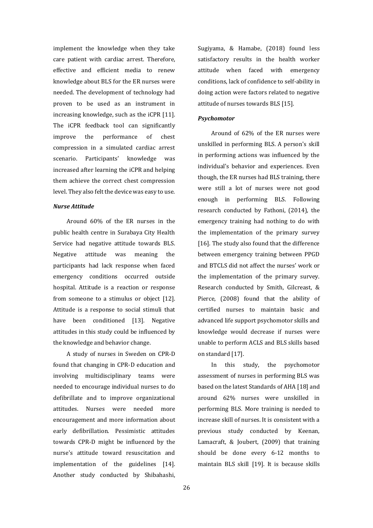implement the knowledge when they take care patient with cardiac arrest. Therefore, effective and efficient media to renew knowledge about BLS for the ER nurses were needed. The development of technology had proven to be used as an instrument in increasing knowledge, such as the iCPR [11]. The iCPR feedback tool can significantly improve the performance of chest compression in a simulated cardiac arrest scenario. Participants' knowledge was increased after learning the iCPR and helping them achieve the correct chest compression level. They also felt the device was easy to use.

# *Nurse Attitude*

Around 60% of the ER nurses in the public health centre in Surabaya City Health Service had negative attitude towards BLS. Negative attitude was meaning the participants had lack response when faced emergency conditions occurred outside hospital. Attitude is a reaction or response from someone to a stimulus or object [12]. Attitude is a response to social stimuli that have been conditioned [13]. Negative attitudes in this study could be influenced by the knowledge and behavior change.

A study of nurses in Sweden on CPR-D found that changing in CPR-D education and involving multidisciplinary teams were needed to encourage individual nurses to do defibrillate and to improve organizational attitudes. Nurses were needed more encouragement and more information about early defibrillation. Pessimistic attitudes towards CPR-D might be influenced by the nurse's attitude toward resuscitation and implementation of the guidelines [14]. Another study conducted by Shibahashi,

Sugiyama, & Hamabe, (2018) found less satisfactory results in the health worker attitude when faced with emergency conditions, lack of confidence to self-ability in doing action were factors related to negative attitude of nurses towards BLS [15].

#### *Psychomotor*

Around of 62% of the ER nurses were unskilled in performing BLS. A person's skill in performing actions was influenced by the individual's behavior and experiences. Even though, the ER nurses had BLS training, there were still a lot of nurses were not good enough in performing BLS. Following research conducted by Fathoni, (2014), the emergency training had nothing to do with the implementation of the primary survey [16]. The study also found that the difference between emergency training between PPGD and BTCLS did not affect the nurses' work or the implementation of the primary survey. Research conducted by Smith, Gilcreast, & Pierce, (2008) found that the ability of certified nurses to maintain basic and advanced life support psychomotor skills and knowledge would decrease if nurses were unable to perform ACLS and BLS skills based on standard [17].

In this study, the psychomotor assessment of nurses in performing BLS was based on the latest Standards of AHA [18] and around 62% nurses were unskilled in performing BLS. More training is needed to increase skill of nurses. It is consistent with a previous study conducted by Keenan, Lamacraft, & Joubert, (2009) that training should be done every 6-12 months to maintain BLS skill [19]. It is because skills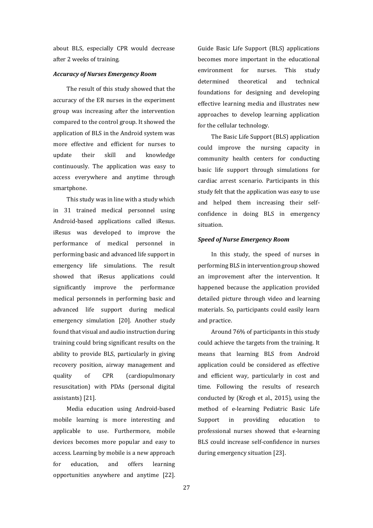about BLS, especially CPR would decrease after 2 weeks of training.

# *Accuracy of Nurses Emergency Room*

The result of this study showed that the accuracy of the ER nurses in the experiment group was increasing after the intervention compared to the control group. It showed the application of BLS in the Android system was more effective and efficient for nurses to update their skill and knowledge continuously. The application was easy to access everywhere and anytime through smartphone.

This study was in line with a study which in 31 trained medical personnel using Android-based applications called iResus. iResus was developed to improve the performance of medical personnel in performing basic and advanced life support in emergency life simulations. The result showed that iResus applications could significantly improve the performance medical personnels in performing basic and advanced life support during medical emergency simulation [20]. Another study found that visual and audio instruction during training could bring significant results on the ability to provide BLS, particularly in giving recovery position, airway management and quality of CPR (cardiopulmonary resuscitation) with PDAs (personal digital assistants) [21].

Media education using Android-based mobile learning is more interesting and applicable to use. Furthermore, mobile devices becomes more popular and easy to access. Learning by mobile is a new approach for education, and offers learning opportunities anywhere and anytime [22].

Guide Basic Life Support (BLS) applications becomes more important in the educational environment for nurses. This study determined theoretical and technical foundations for designing and developing effective learning media and illustrates new approaches to develop learning application for the cellular technology.

The Basic Life Support (BLS) application could improve the nursing capacity in community health centers for conducting basic life support through simulations for cardiac arrest scenario. Participants in this study felt that the application was easy to use and helped them increasing their selfconfidence in doing BLS in emergency situation.

## *Speed of Nurse Emergency Room*

In this study, the speed of nurses in performing BLS in intervention group showed an improvement after the intervention. It happened because the application provided detailed picture through video and learning materials. So, participants could easily learn and practice.

Around 76% of participants in this study could achieve the targets from the training. It means that learning BLS from Android application could be considered as effective and efficient way, particularly in cost and time. Following the results of research conducted by (Krogh et al., 2015), using the method of e-learning Pediatric Basic Life Support in providing education to professional nurses showed that e-learning BLS could increase self-confidence in nurses during emergency situation [23].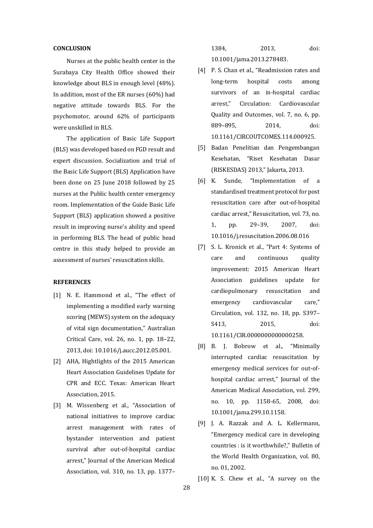## **CONCLUSION**

Nurses at the public health center in the Surabaya City Health Office showed their knowledge about BLS in enough level (48%). In addition, most of the ER nurses (60%) had negative attitude towards BLS. For the psychomotor, around 62% of participants were unskilled in BLS.

The application of Basic Life Support (BLS) was developed based on FGD result and expert discussion. Socialization and trial of the Basic Life Support (BLS) Application have been done on 25 June 2018 followed by 25 nurses at the Public health center emergency room. Implementation of the Guide Basic Life Support (BLS) application showed a positive result in improving nurse's ability and speed in performing BLS. The head of public head centre in this study helped to provide an assessment of nurses' resuscitation skills.

#### **REFERENCES**

- [1] N. E. Hammond et al., "The effect of implementing a modified early warning scoring (MEWS) system on the adequacy of vital sign documentation," Australian Critical Care, vol. 26, no. 1, pp. 18–22, 2013, doi: 10.1016/j.aucc.2012.05.001.
- [2] AHA, Hightlights of the 2015 American Heart Association Guidelines Update for CPR and ECC. Texas: American Heart Association, 2015.
- [3] M. Wissenberg et al., "Association of national initiatives to improve cardiac arrest management with rates of bystander intervention and patient survival after out-of-hospital cardiac arrest," Journal of the American Medical Association, vol. 310, no. 13, pp. 1377–

1384, 2013, doi: 10.1001/jama.2013.278483.

- [4] P. S. Chan et al., "Readmission rates and long-term hospital costs among survivors of an in-hospital cardiac arrest," Circulation: Cardiovascular Quality and Outcomes, vol. 7, no. 6, pp. 889–895, 2014, doi: 10.1161/CIRCOUTCOMES.114.000925.
- [5] Badan Penelitian dan Pengembangan Kesehatan, "Riset Kesehatan Dasar (RISKESDAS) 2013," Jakarta, 2013.
- [6] K. Sunde, "Implementation of a standardised treatment protocol for post resuscitation care after out-of-hospital cardiac arrest," Resuscitation, vol. 73, no. 1, pp. 29–39, 2007, doi: 10.1016/j.resuscitation.2006.08.016
- [7] S. L. Kronick et al., "Part 4: Systems of care and continuous quality improvement: 2015 American Heart Association guidelines update for cardiopulmonary resuscitation and emergency cardiovascular care," Circulation, vol. 132, no. 18, pp. S397– S413, 2015, doi: 10.1161/CIR.0000000000000258.
- [8] B. J. Bobrow et al., "Minimally interrupted cardiac resuscitation by emergency medical services for out-ofhospital cardiac arrest," Journal of the American Medical Association, vol. 299, no. 10, pp. 1158-65, 2008, doi: 10.1001/jama.299.10.1158.
- [9] J. A. Razzak and A. L. Kellermann, "Emergency medical care in developing countries : is it worthwhile?," Bulletin of the World Health Organization, vol. 80, no. 01, 2002.

[10] K. S. Chew et al., "A survey on the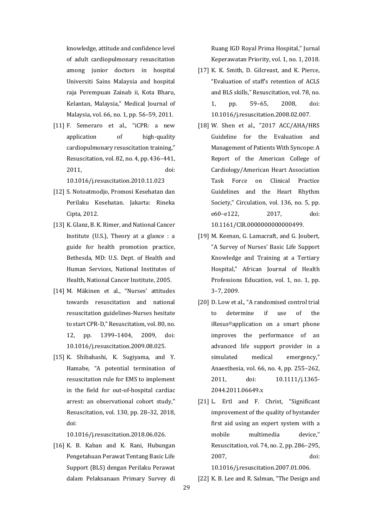knowledge, attitude and confidence level of adult cardiopulmonary resuscitation among junior doctors in hospital Universiti Sains Malaysia and hospital raja Perempuan Zainab ii, Kota Bharu, Kelantan, Malaysia," Medical Journal of Malaysia, vol. 66, no. 1, pp. 56–59, 2011.

- [11] F. Semeraro et al., "iCPR: a new application of high-quality cardiopulmonary resuscitation training," Resuscitation, vol. 82, no. 4, pp. 436–441, 2011, doi: 10.1016/j.resuscitation.2010.11.023
- [12] S. Notoatmodjo, Promosi Kesehatan dan Perilaku Kesehatan. Jakarta: Rineka Cipta, 2012.
- [13] K. Glanz, B. K. Rimer, and National Cancer Institute (U.S.), Theory at a glance : a guide for health promotion practice, Bethesda, MD: U.S. Dept. of Health and Human Services, National Institutes of Health, National Cancer Institute, 2005.
- [14] M. Mäkinen et al., "Nurses' attitudes towards resuscitation and national resuscitation guidelines-Nurses hesitate to start CPR-D," Resuscitation, vol. 80, no. 12, pp. 1399–1404, 2009, doi: 10.1016/j.resuscitation.2009.08.025.
- [15] K. Shibahashi, K. Sugiyama, and Y. Hamabe, "A potential termination of resuscitation rule for EMS to implement in the field for out-of-hospital cardiac arrest: an observational cohort study," Resuscitation, vol. 130, pp. 28–32, 2018, doi:

10.1016/j.resuscitation.2018.06.026.

[16] K. B. Kaban and K. Rani, Hubungan Pengetahuan Perawat Tentang Basic Life Support (BLS) dengan Perilaku Perawat dalam Pelaksanaan Primary Survey di

Ruang IGD Royal Prima Hospital," Jurnal Keperawatan Priority, vol. 1, no. 1, 2018.

- [17] K. K. Smith, D. Gilcreast, and K. Pierce, "Evaluation of staff's retention of ACLS and BLS skills," Resuscitation, vol. 78, no. 1, pp. 59–65, 2008, doi: 10.1016/j.resuscitation.2008.02.007.
- [18] W. Shen et al., "2017 ACC/AHA/HRS Guideline for the Evaluation and Management of Patients With Syncope: A Report of the American College of Cardiology/American Heart Association Task Force on Clinical Practice Guidelines and the Heart Rhythm Society," Circulation, vol. 136, no. 5, pp. e60–e122, 2017, doi: 10.1161/CIR.0000000000000499.
- [19] M. Keenan, G. Lamacraft, and G. Joubert, "A Survey of Nurses' Basic Life Support Knowledge and Training at a Tertiary Hospital," African Journal of Health Professions Education, vol. 1, no. 1, pp. 3–7, 2009.
- [20] D. Low et al., "A randomised control trial to determine if use of the iResus©application on a smart phone improves the performance of an advanced life support provider in a simulated medical emergency," Anaesthesia, vol. 66, no. 4, pp. 255–262, 2011, doi: 10.1111/j.1365- 2044.2011.06649.x
- [21] L. Ertl and F. Christ, "Significant improvement of the quality of bystander first aid using an expert system with a mobile multimedia device," Resuscitation, vol. 74, no. 2, pp. 286–295, 2007, doi:

10.1016/j.resuscitation.2007.01.006.

[22] K. B. Lee and R. Salman, "The Design and